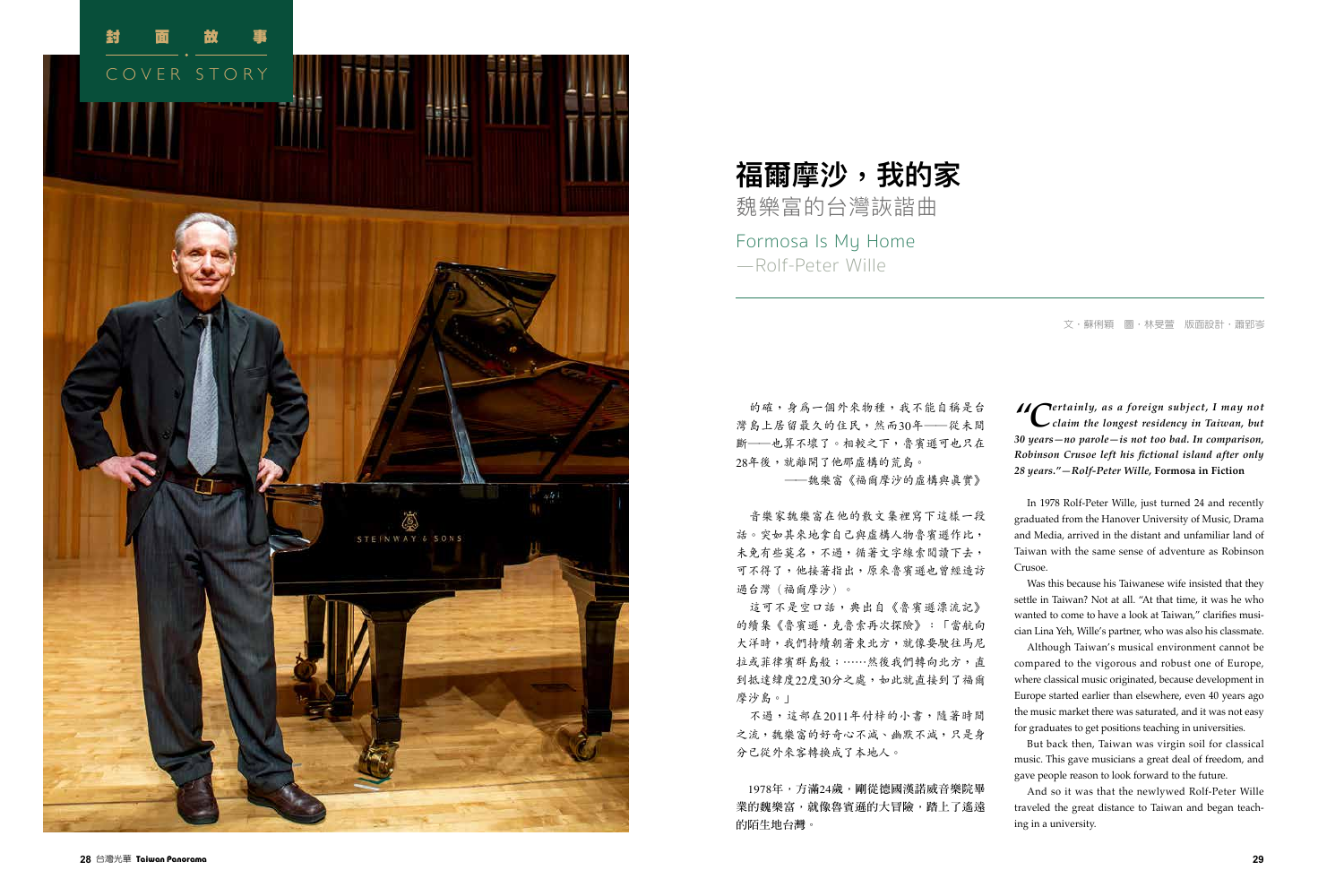

的確,身為一個外來物種,我不能自稱是台 灣島上居留最久的住民,然而30年──從未間 斷–––也算不壞了。相較之下,魯賓遜可也只在 28年後,就離開了他那虛構的荒島。

──魏樂富《福爾摩沙的虛構與真實》

這可不是空口話,典出自《魯賓遜漂流記》 的續集《魯賓遜‧克魯索再次探險》:「當航向 大洋時,我們持續朝著東北方,就像要駛往馬尼 拉或菲律賓群島般;⋯⋯然後我們轉向北方,直 到抵達緯度22 度30分之處,如此就直接到了福爾 摩沙島。」

音樂家魏樂富在他的散文集裡寫下這樣一段 話。突如其來地拿自己與虛構人物魯賓遜作比, 未免有些莫名,不過,循著文字線索閱讀下去, 可不得了,他接著指出,原來魯賓遜也曾經造訪 過台灣(福爾摩沙)。

不過,這部在2011年付梓的小書,隨著時間 之流,魏樂富的好奇心不減、幽默不減,只是身 分已從外來客轉換成了本地人。

1978**年,方滿**24**歲,剛從德國漢諾威音樂院畢 業的魏樂富,就像魯賓遜的大冒險,踏上了遙遠 的陌生地台灣。**

文•蘇俐穎 圖•林旻萱 版面設計•蕭郢岑

Formosa Is My Home —Rolf-Peter Wille

# **福爾摩沙,我的家** 魏樂富的台灣詼諧曲

*"Certainly, as a foreign subject, I may not claim the longest residency in Taiwan, but 30 years—no parole—is not too bad. In comparison, Robinson Crusoe left his fictional island after only 28 years."—Rolf-Peter Wille,* **Formosa in Fiction**

In 1978 Rolf-Peter Wille, just turned 24 and recently graduated from the Hanover University of Music, Drama and Media, arrived in the distant and unfamiliar land of Taiwan with the same sense of adventure as Robinson Crusoe.

Was this because his Taiwanese wife insisted that they settle in Taiwan? Not at all. "At that time, it was he who wanted to come to have a look at Taiwan," clarifies musi cian Lina Yeh, Wille's partner, who was also his classmate.

Although Taiwan's musical environment cannot be compared to the vigorous and robust one of Europe, where classical music originated, because development in Europe started earlier than elsewhere, even 40 years ago the music market there was saturated, and it was not easy for graduates to get positions teaching in universities.

But back then, Taiwan was virgin soil for classical music. This gave musicians a great deal of freedom, and gave people reason to look forward to the future.

And so it was that the newlywed Rolf-Peter Wille traveled the great distance to Taiwan and began teach ing in a university.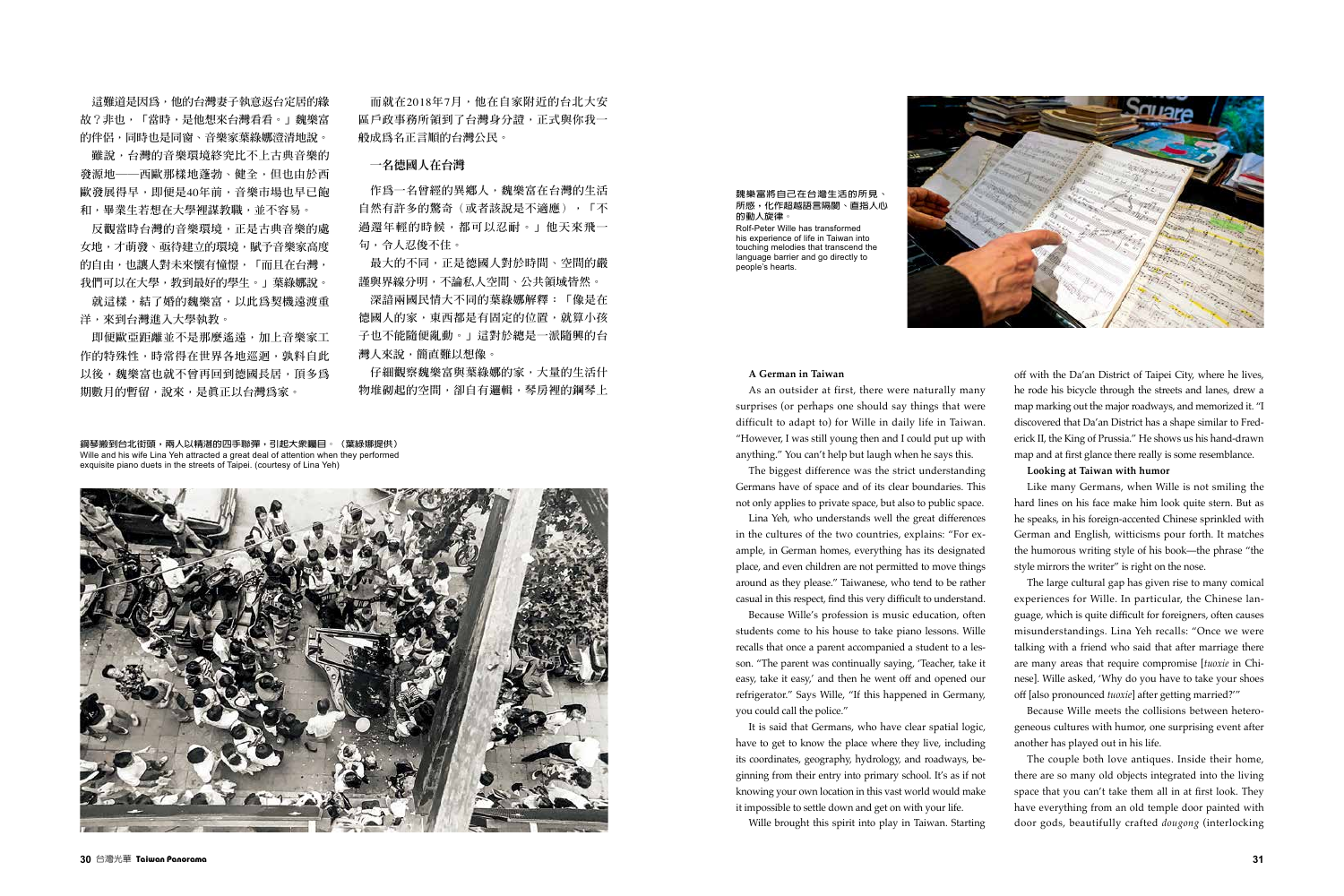**這難道是因為,他的台灣妻子執意返台定居的緣 故?非也,「當時,是他想來台灣看看。」魏樂富 的伴侶,同時也是同窗、音樂家葉綠娜澄清地說。**

**雖說,台灣的音樂環境終究比不上古典音樂的 發源地──西歐那樣地蓬勃、健全,但也由於西 歐發展得早,即便是**40**年前,音樂市場也早已飽 和,畢業生若想在大學裡謀教職,並不容易。**

**反觀當時台灣的音樂環境,正是古典音樂的處 女地,才萌發、亟待建立的環境,賦予音樂家高度 的自由,也讓人對未來懷有憧憬,「而且在台灣, 我們可以在大學,教到最好的學生。」葉綠娜說。**

**就這樣,結了婚的魏樂富,以此為契機遠渡重 洋,來到台灣進入大學執教。**

**即便歐亞距離並不是那麼遙遠,加上音樂家工 作的特殊性,時常得在世界各地巡迴,孰料自此 以後,魏樂富也就不曾再回到德國長居,頂多為 期數月的暫留,說來,是真正以台灣為家。**

**而就在**2018**年**7**月,他在自家附近的台北大安 區戶政事務所領到了台灣身分證,正式與你我一 般成為名正言順的台灣公民。**

# 一名德國人在台灣

**作為一名曾經的異鄉人,魏樂富在台灣的生活 自然有許多的驚奇(或者該說是不適應),「不 過還年輕的時候,都可以忍耐。」他天來飛一 句,令人忍俊不住。**

**最大的不同,正是德國人對於時間、空間的嚴 謹與界線分明,不論私人空間、公共領域皆然。**

**深諳兩國民情大不同的葉綠娜解釋:「像是在 德國人的家,東西都是有固定的位置,就算小孩 子也不能隨便亂動。」這對於總是一派隨興的台 灣人來說,簡直難以想像。**

**仔細觀察魏樂富與葉綠娜的家,大量的生活什 物堆砌起的空間,卻自有邏輯,琴房裡的鋼琴上**

**鋼琴搬到台北街頭,兩人以精湛的四手聯彈,引起大眾矚目。(葉綠娜提供)** Wille and his wife Lina Yeh attracted a great deal of attention when they performed exquisite piano duets in the streets of Taipei. (courtesy of Lina Yeh)



### **魏樂富將自己在台灣生活的所見、 所感,化作超越語言隔閡、直指人心 的動人旋律。**

Rolf-Peter Wille has transformed his experience of life in Taiwan into touching melodies that transcend the language barrier and go directly to people's hearts.



## **A German in Taiwan**

As an outsider at first, there were naturally many surprises (or perhaps one should say things that were difficult to adapt to) for Wille in daily life in Taiwan. "However, I was still young then and I could put up with anything." You can't help but laugh when he says this.

The biggest difference was the strict understanding Germans have of space and of its clear boundaries. This not only applies to private space, but also to public space.

Lina Yeh, who understands well the great differences in the cultures of the two countries, explains: "For example, in German homes, everything has its designated place, and even children are not permitted to move things around as they please." Taiwanese, who tend to be rather casual in this respect, find this very difficult to understand.

Because Wille's profession is music education, often students come to his house to take piano lessons. Wille recalls that once a parent accompanied a student to a lesson. "The parent was continually saying, 'Teacher, take it easy, take it easy,' and then he went off and opened our refrigerator." Says Wille, "If this happened in Germany, you could call the police."

It is said that Germans, who have clear spatial logic, have to get to know the place where they live, including its coordinates, geography, hydrology, and roadways, beginning from their entry into primary school. It's as if not knowing your own location in this vast world would make it impossible to settle down and get on with your life.

Wille brought this spirit into play in Taiwan. Starting

off with the Da'an District of Taipei City, where he lives, he rode his bicycle through the streets and lanes, drew a map marking out the major roadways, and memorized it. "I discovered that Da'an District has a shape similar to Frederick II, the King of Prussia." He shows us his hand-drawn map and at first glance there really is some resemblance.

## **Looking at Taiwan with humor**

Like many Germans, when Wille is not smiling the hard lines on his face make him look quite stern. But as he speaks, in his foreign-accented Chinese sprinkled with German and English, witticisms pour forth. It matches the humorous writing style of his book—the phrase "the style mirrors the writer" is right on the nose.

The large cultural gap has given rise to many comical experiences for Wille. In particular, the Chinese language, which is quite difficult for foreigners, often causes misunderstandings. Lina Yeh recalls: "Once we were talking with a friend who said that after marriage there are many areas that require compromise [*tuoxie* in Chinese]. Wille asked, 'Why do you have to take your shoes off [also pronounced *tuoxie*] after getting married?'"

Because Wille meets the collisions between heterogeneous cultures with humor, one surprising event after another has played out in his life.

The couple both love antiques. Inside their home, there are so many old objects integrated into the living space that you can't take them all in at first look. They have everything from an old temple door painted with door gods, beautifully crafted *dougong* (interlocking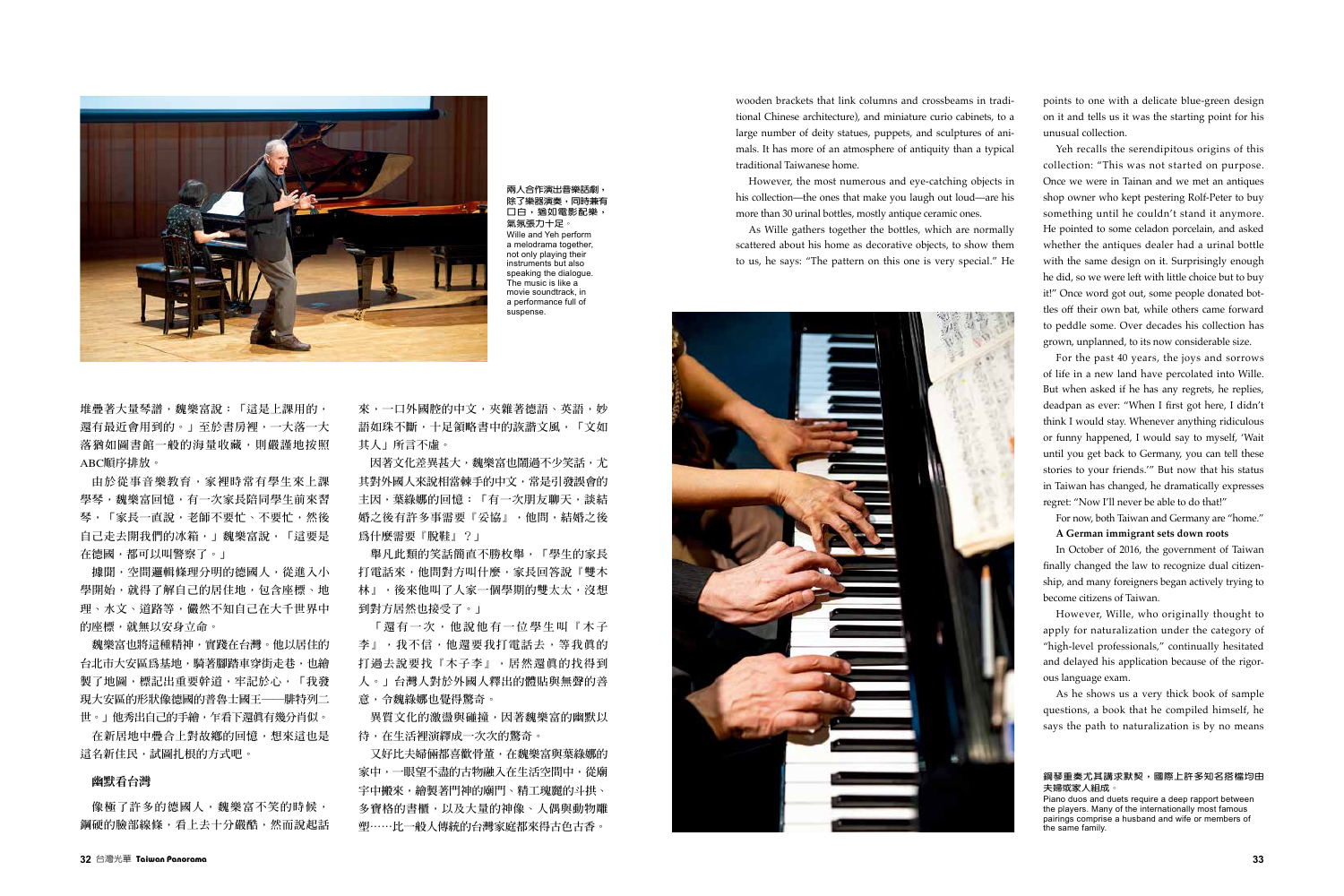

**堆疊著大量琴譜,魏樂富說:「這是上課用的, 還有最近會用到的。」至於書房裡,一大落一大 落猶如圖書館一般的海量收藏,則嚴謹地按照** ABC**順序排放。**

**由於從事音樂教育,家裡時常有學生來上課 學琴,魏樂富回憶,有一次家長陪同學生前來習** 琴,「家長一直說,老師不要忙、不要忙,然後 **自己走去開我們的冰箱,」魏樂富說,「這要是 在德國,都可以叫警察了。」**

像極了許多的德國人,魏樂富不笑的時候, **鋼硬的臉部線條,看上去十分嚴酷,然而說起話**

**據聞,空間邏輯條理分明的德國人,從進入小 學開始,就得了解自己的居住地,包含座標、地 理、水文、道路等,儼然不知自己在大千世界中 的座標,就無以安身立命。**

**魏樂富也將這種精神,實踐在台灣。他以居住的 台北市大安區為基地,騎著腳踏車穿街走巷,也繪 製了地圖,標記出重要幹道,牢記於心,「我發 現大安區的形狀像德國的普魯士國王──腓特列二 世。」他秀出自己的手繪,乍看下還真有幾分肖似。**

**在新居地中疊合上對故鄉的回憶,想來這也是 這名新住民,試圖扎根的方式吧。**

# 幽默看台灣

#### **鋼琴重奏尤其講求默契,國際上許多知名搭檔均由 夫婦或家人組成。**

Piano duos and duets require a deep rapport between the players. Many of the internationally most famous pairings comprise a husband and wife or members of the same family.

**來,一口外國腔的中文,夾雜著德語、英語,妙 語如珠不斷,十足領略書中的詼諧文風,「文如 其人」所言不虛。**

**因著文化差異甚大,魏樂富也鬧過不少笑話,尤 其對外國人來說相當棘手的中文,常是引發誤會的 主因,葉綠娜的回憶:「有一次朋友聊天,談結 婚之後有許多事需要『妥協』,他問,結婚之後 為什麼需要『脫鞋』?」**

**舉凡此類的笑話簡直不勝枚舉,「學生的家長 打電話來,他問對方叫什麼,家長回答說『雙木 林』,後來他叫了人家一個學期的雙太太,沒想 到對方居然也接受了。」**

**「還有一次,他說他有一位學生叫『木子 李』,我不信,他還要我打電話去,等我真的 打過去說要找『木子李』,居然還真的找得到 人。」台灣人對於外國人釋出的體貼與無聲的善 意,令魏綠娜也覺得驚奇。**

**異質文化的激盪與碰撞,因著魏樂富的幽默以 待,在生活裡演繹成一次次的驚奇。**

**又好比夫婦倆都喜歡骨董,在魏樂富與葉綠娜的 家中,一眼望不盡的古物融入在生活空間中,從廟 宇中搬來,繪製著門神的廟門、精工瑰麗的斗拱、 多寶格的書櫃,以及大量的神像、人偶與動物雕 塑⋯⋯比一般人傳統的台灣家庭都來得古色古香。**



**兩人合作演出音樂話劇, 除了樂器演奏,同時兼有 口白,猶如電影配樂, 氣氛張力十足。** Wille and Yeh perform a melodrama together, not only playing their instruments but also speaking the dialogue. The music is like a movie soundtrack, in a performance full of suspense.

wooden brackets that link columns and crossbeams in traditional Chinese architecture), and miniature curio cabinets, to a large number of deity statues, puppets, and sculptures of animals. It has more of an atmosphere of antiquity than a typical traditional Taiwanese home.

However, the most numerous and eye-catching objects in his collection—the ones that make you laugh out loud—are his more than 30 urinal bottles, mostly antique ceramic ones.

As Wille gathers together the bottles, which are normally scattered about his home as decorative objects, to show them to us, he says: "The pattern on this one is very special." He points to one with a delicate blue-green design on it and tells us it was the starting point for his unusual collection.

Yeh recalls the serendipitous origins of this collection: "This was not started on purpose. Once we were in Tainan and we met an antiques shop owner who kept pestering Rolf-Peter to buy something until he couldn't stand it anymore. He pointed to some celadon porcelain, and asked whether the antiques dealer had a urinal bottle with the same design on it. Surprisingly enough he did, so we were left with little choice but to buy it!" Once word got out, some people donated bottles off their own bat, while others came forward to peddle some. Over decades his collection has grown, unplanned, to its now considerable size.

For the past 40 years, the joys and sorrows of life in a new land have percolated into Wille. But when asked if he has any regrets, he replies, deadpan as ever: "When I first got here, I didn't think I would stay. Whenever anything ridiculous or funny happened, I would say to myself, 'Wait until you get back to Germany, you can tell these stories to your friends.'" But now that his status in Taiwan has changed, he dramatically expresses regret: "Now I'll never be able to do that!"

For now, both Taiwan and Germany are "home."

# **A German immigrant sets down roots**

In October of 2016, the government of Taiwan finally changed the law to recognize dual citizenship, and many foreigners began actively trying to become citizens of Taiwan.

However, Wille, who originally thought to apply for naturalization under the category of "high-level professionals," continually hesitated and delayed his application because of the rigorous language exam.

As he shows us a very thick book of sample questions, a book that he compiled himself, he says the path to naturalization is by no means